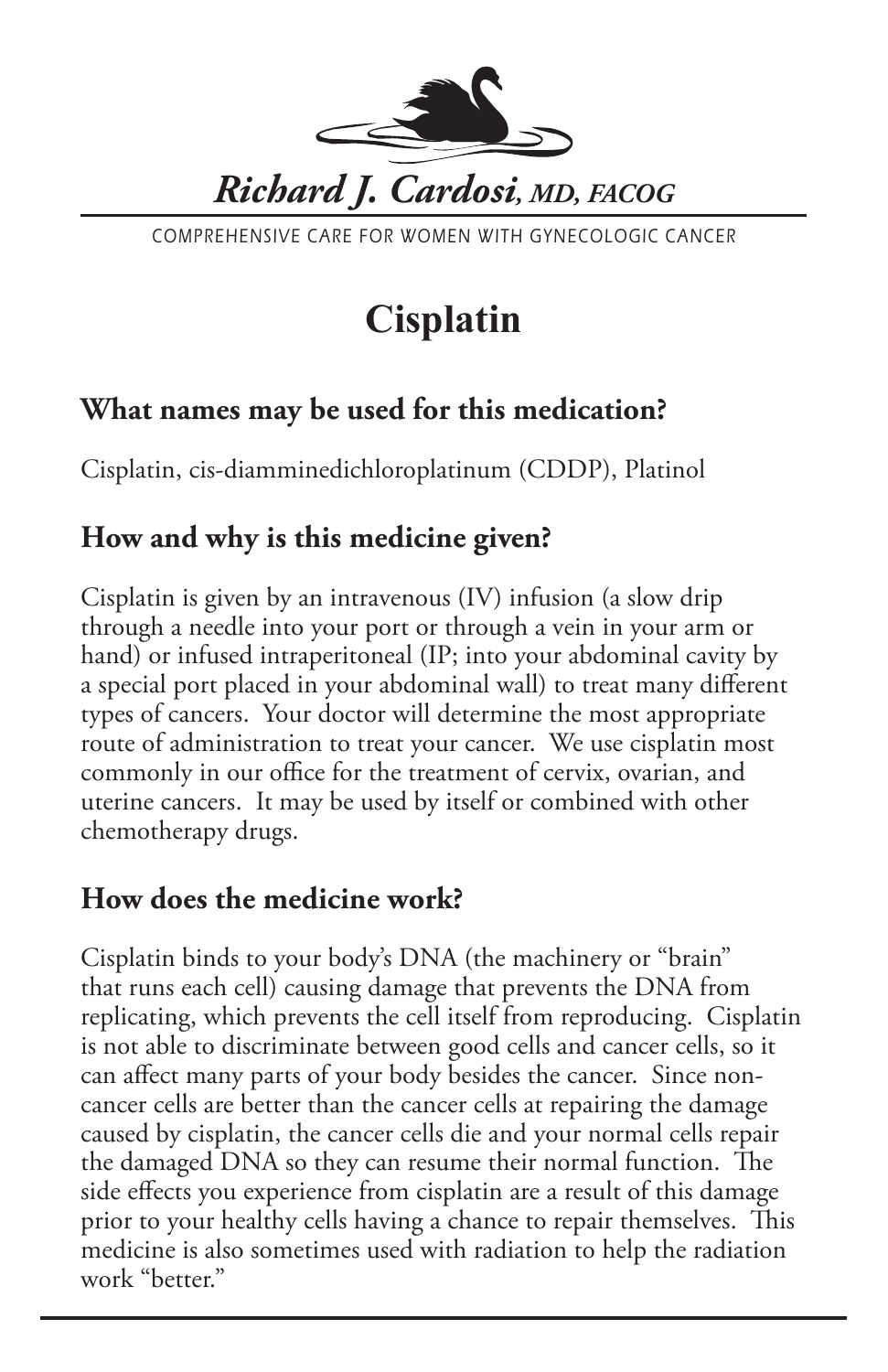

COMPREHENSIVE CARE FOR WOMEN WITH GYNECOLOGIC CANCER

# **Cisplatin**

## **What names may be used for this medication?**

Cisplatin, cis-diamminedichloroplatinum (CDDP), Platinol

## **How and why is this medicine given?**

Cisplatin is given by an intravenous (IV) infusion (a slow drip through a needle into your port or through a vein in your arm or hand) or infused intraperitoneal (IP; into your abdominal cavity by a special port placed in your abdominal wall) to treat many different types of cancers. Your doctor will determine the most appropriate route of administration to treat your cancer. We use cisplatin most commonly in our office for the treatment of cervix, ovarian, and uterine cancers. It may be used by itself or combined with other chemotherapy drugs.

#### **How does the medicine work?**

Cisplatin binds to your body's DNA (the machinery or "brain" that runs each cell) causing damage that prevents the DNA from replicating, which prevents the cell itself from reproducing. Cisplatin is not able to discriminate between good cells and cancer cells, so it can affect many parts of your body besides the cancer. Since noncancer cells are better than the cancer cells at repairing the damage caused by cisplatin, the cancer cells die and your normal cells repair the damaged DNA so they can resume their normal function. The side effects you experience from cisplatin are a result of this damage prior to your healthy cells having a chance to repair themselves. This medicine is also sometimes used with radiation to help the radiation work "better."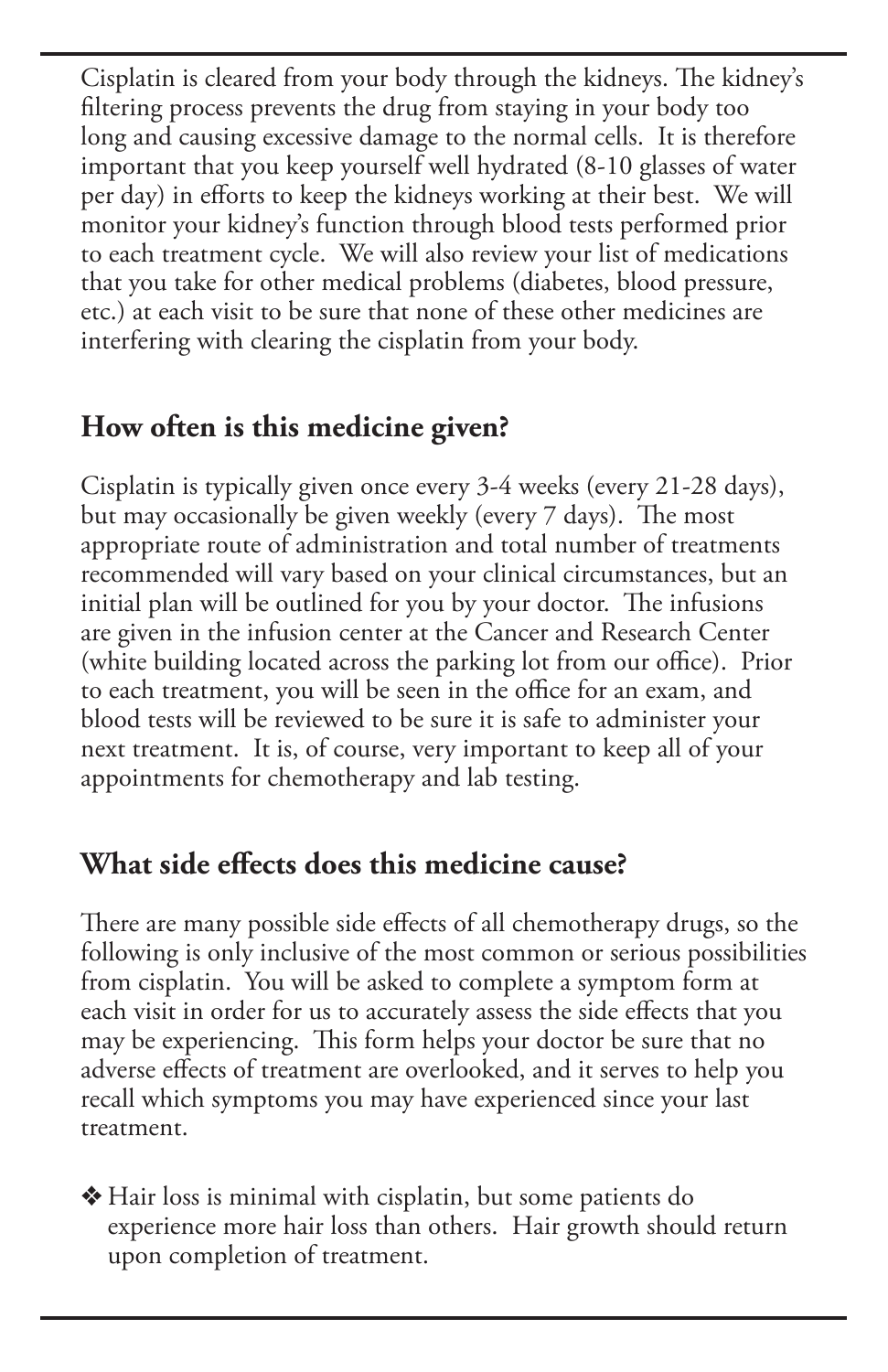Cisplatin is cleared from your body through the kidneys. The kidney's filtering process prevents the drug from staying in your body too long and causing excessive damage to the normal cells. It is therefore important that you keep yourself well hydrated (8-10 glasses of water per day) in efforts to keep the kidneys working at their best. We will monitor your kidney's function through blood tests performed prior to each treatment cycle. We will also review your list of medications that you take for other medical problems (diabetes, blood pressure, etc.) at each visit to be sure that none of these other medicines are interfering with clearing the cisplatin from your body.

## **How often is this medicine given?**

Cisplatin is typically given once every 3-4 weeks (every 21-28 days), but may occasionally be given weekly (every 7 days). The most appropriate route of administration and total number of treatments recommended will vary based on your clinical circumstances, but an initial plan will be outlined for you by your doctor. The infusions are given in the infusion center at the Cancer and Research Center (white building located across the parking lot from our office). Prior to each treatment, you will be seen in the office for an exam, and blood tests will be reviewed to be sure it is safe to administer your next treatment. It is, of course, very important to keep all of your appointments for chemotherapy and lab testing.

### **What side effects does this medicine cause?**

There are many possible side effects of all chemotherapy drugs, so the following is only inclusive of the most common or serious possibilities from cisplatin. You will be asked to complete a symptom form at each visit in order for us to accurately assess the side effects that you may be experiencing. This form helps your doctor be sure that no adverse effects of treatment are overlooked, and it serves to help you recall which symptoms you may have experienced since your last treatment.

v Hair loss is minimal with cisplatin, but some patients do experience more hair loss than others. Hair growth should return upon completion of treatment.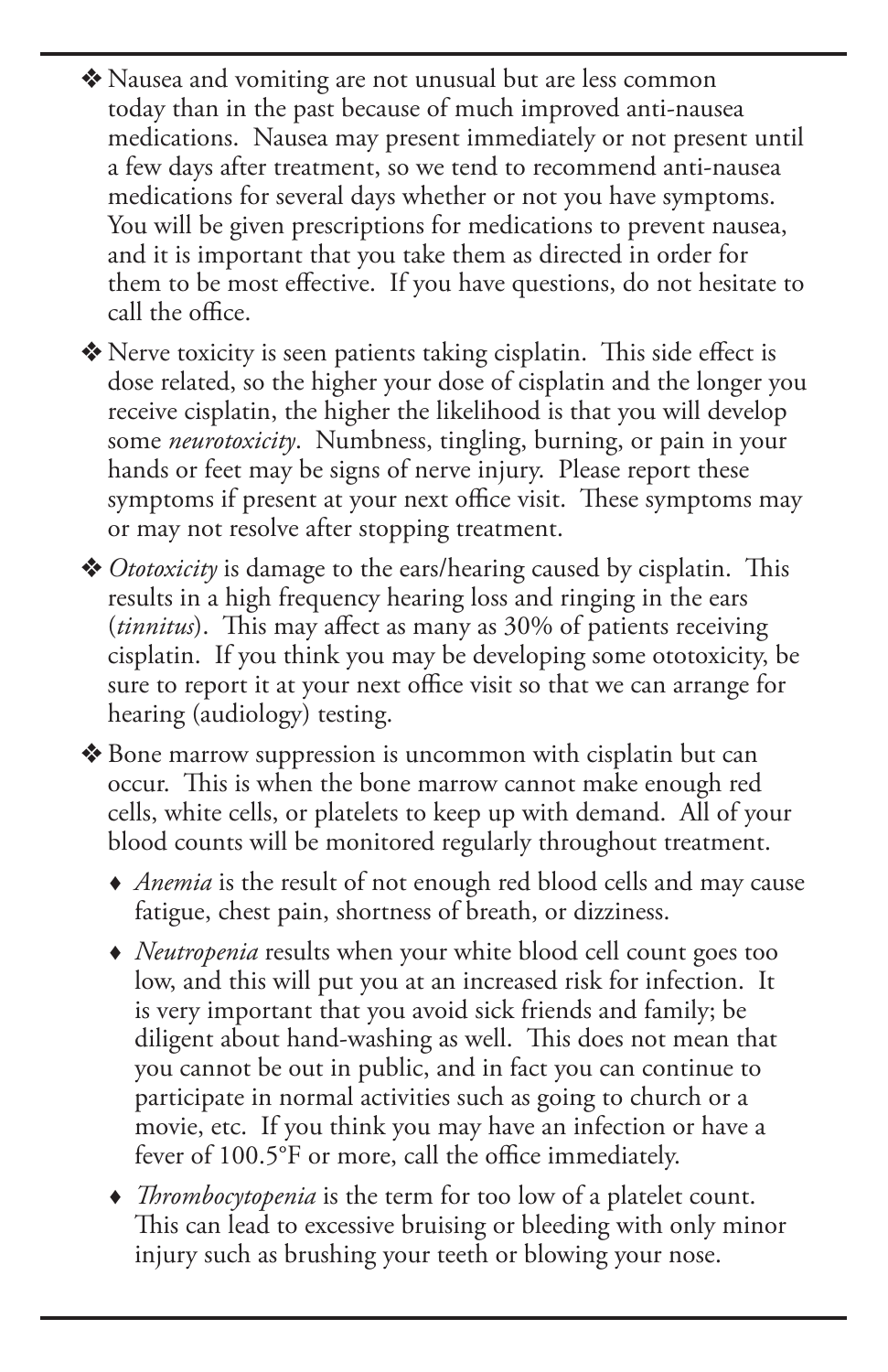v Nausea and vomiting are not unusual but are less common today than in the past because of much improved anti-nausea medications. Nausea may present immediately or not present until a few days after treatment, so we tend to recommend anti-nausea medications for several days whether or not you have symptoms. You will be given prescriptions for medications to prevent nausea, and it is important that you take them as directed in order for them to be most effective. If you have questions, do not hesitate to call the office.

v Nerve toxicity is seen patients taking cisplatin. This side effect is dose related, so the higher your dose of cisplatin and the longer you receive cisplatin, the higher the likelihood is that you will develop some *neurotoxicity*. Numbness, tingling, burning, or pain in your hands or feet may be signs of nerve injury. Please report these symptoms if present at your next office visit. These symptoms may or may not resolve after stopping treatment.

**❖** *Ototoxicity* is damage to the ears/hearing caused by cisplatin. This results in a high frequency hearing loss and ringing in the ears (*tinnitus*). This may affect as many as 30% of patients receiving cisplatin. If you think you may be developing some ototoxicity, be sure to report it at your next office visit so that we can arrange for hearing (audiology) testing.

v Bone marrow suppression is uncommon with cisplatin but can occur. This is when the bone marrow cannot make enough red cells, white cells, or platelets to keep up with demand. All of your blood counts will be monitored regularly throughout treatment.

- *Anemia* is the result of not enough red blood cells and may cause fatigue, chest pain, shortness of breath, or dizziness.
- *Neutropenia* results when your white blood cell count goes too low, and this will put you at an increased risk for infection. It is very important that you avoid sick friends and family; be diligent about hand-washing as well. This does not mean that you cannot be out in public, and in fact you can continue to participate in normal activities such as going to church or a movie, etc. If you think you may have an infection or have a fever of 100.5°F or more, call the office immediately.
- *Thrombocytopenia* is the term for too low of a platelet count. This can lead to excessive bruising or bleeding with only minor injury such as brushing your teeth or blowing your nose.